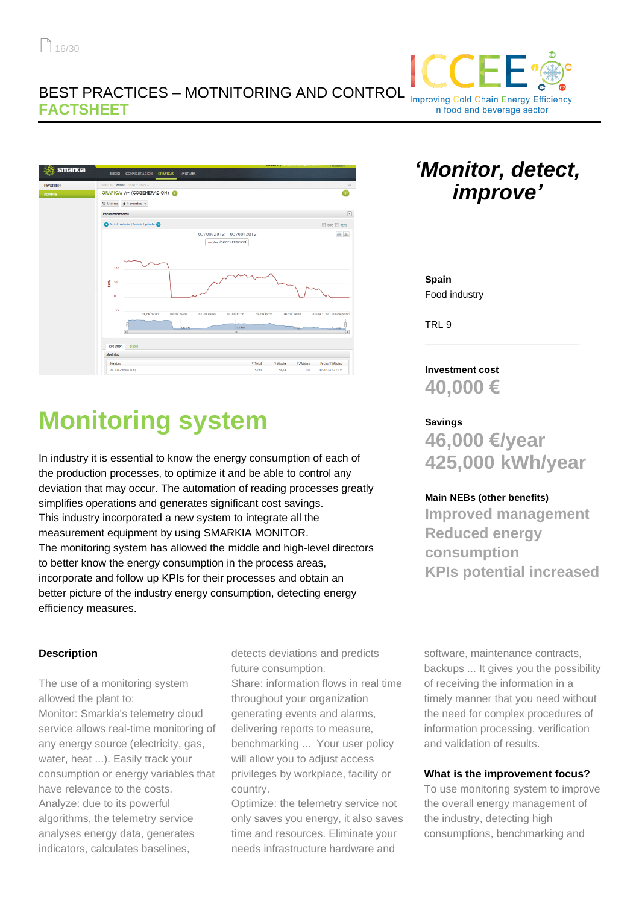## BEST PRACTICES – MOTNITORING AND CONTROL **FACTSHEET**



# **Monitoring system**

In industry it is essential to know the energy consumption of each of the production processes, to optimize it and be able to control any deviation that may occur. The automation of reading processes greatly simplifies operations and generates significant cost savings. This industry incorporated a new system to integrate all the measurement equipment by using SMARKIA MONITOR. The monitoring system has allowed the middle and high-level directors to better know the energy consumption in the process areas, incorporate and follow up KPIs for their processes and obtain an better picture of the industry energy consumption, detecting energy efficiency measures.

# *'Monitor, detect, improve'*

**Improving Cold Chain Energy Efficiency** in food and beverage sector

**Spain** Food industry

TRL 9

**Investment cost 40,000 €**

#### **Savings**

**46,000 €/year 425,000 kWh/year**

\_\_\_\_\_\_\_\_\_\_\_\_\_\_\_\_\_\_\_\_\_\_\_\_\_\_\_\_\_\_\_\_

#### **Main NEBs (other benefits)**

**Improved management Reduced energy consumption KPIs potential increased**

#### **Description**

The use of a monitoring system allowed the plant to:

Monitor: Smarkia's telemetry cloud service allows real-time monitoring of any energy source (electricity, gas, water, heat ...). Easily track your consumption or energy variables that have relevance to the costs. Analyze: due to its powerful algorithms, the telemetry service analyses energy data, generates indicators, calculates baselines,

detects deviations and predicts future consumption.

Share: information flows in real time throughout your organization generating events and alarms, delivering reports to measure, benchmarking ... Your user policy will allow you to adjust access privileges by workplace, facility or country.

Optimize: the telemetry service not only saves you energy, it also saves time and resources. Eliminate your needs infrastructure hardware and

software, maintenance contracts, backups ... It gives you the possibility of receiving the information in a timely manner that you need without the need for complex procedures of information processing, verification and validation of results.

#### **What is the improvement focus?**

To use monitoring system to improve the overall energy management of the industry, detecting high consumptions, benchmarking and